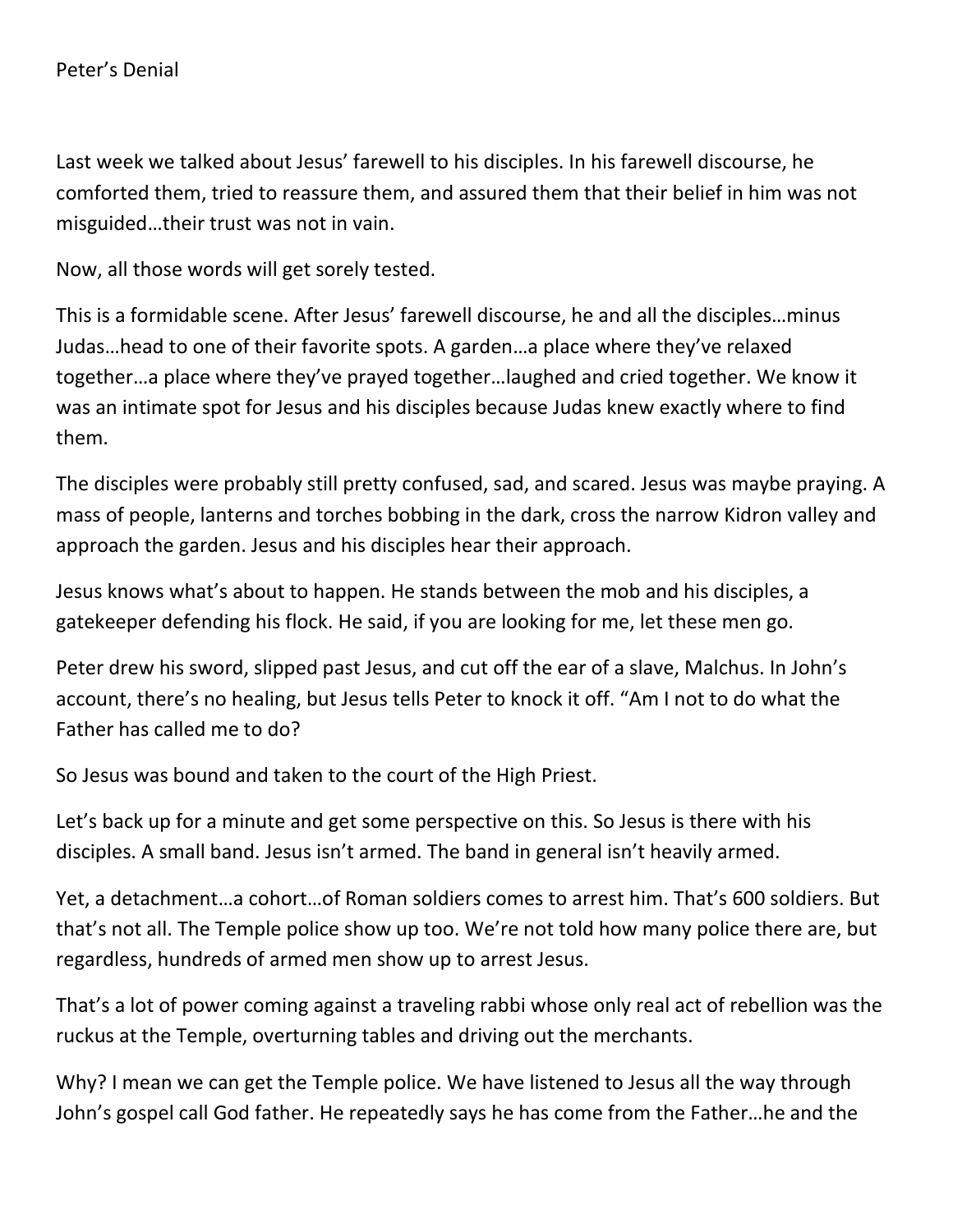Last week we talked about Jesus' farewell to his disciples. In his farewell discourse, he comforted them, tried to reassure them, and assured them that their belief in him was not misguided…their trust was not in vain.

Now, all those words will get sorely tested.

This is a formidable scene. After Jesus' farewell discourse, he and all the disciples…minus Judas…head to one of their favorite spots. A garden…a place where they've relaxed together…a place where they've prayed together…laughed and cried together. We know it was an intimate spot for Jesus and his disciples because Judas knew exactly where to find them.

The disciples were probably still pretty confused, sad, and scared. Jesus was maybe praying. A mass of people, lanterns and torches bobbing in the dark, cross the narrow Kidron valley and approach the garden. Jesus and his disciples hear their approach.

Jesus knows what's about to happen. He stands between the mob and his disciples, a gatekeeper defending his flock. He said, if you are looking for me, let these men go.

Peter drew his sword, slipped past Jesus, and cut off the ear of a slave, Malchus. In John's account, there's no healing, but Jesus tells Peter to knock it off. "Am I not to do what the Father has called me to do?

So Jesus was bound and taken to the court of the High Priest.

Let's back up for a minute and get some perspective on this. So Jesus is there with his disciples. A small band. Jesus isn't armed. The band in general isn't heavily armed.

Yet, a detachment…a cohort…of Roman soldiers comes to arrest him. That's 600 soldiers. But that's not all. The Temple police show up too. We're not told how many police there are, but regardless, hundreds of armed men show up to arrest Jesus.

That's a lot of power coming against a traveling rabbi whose only real act of rebellion was the ruckus at the Temple, overturning tables and driving out the merchants.

Why? I mean we can get the Temple police. We have listened to Jesus all the way through John's gospel call God father. He repeatedly says he has come from the Father…he and the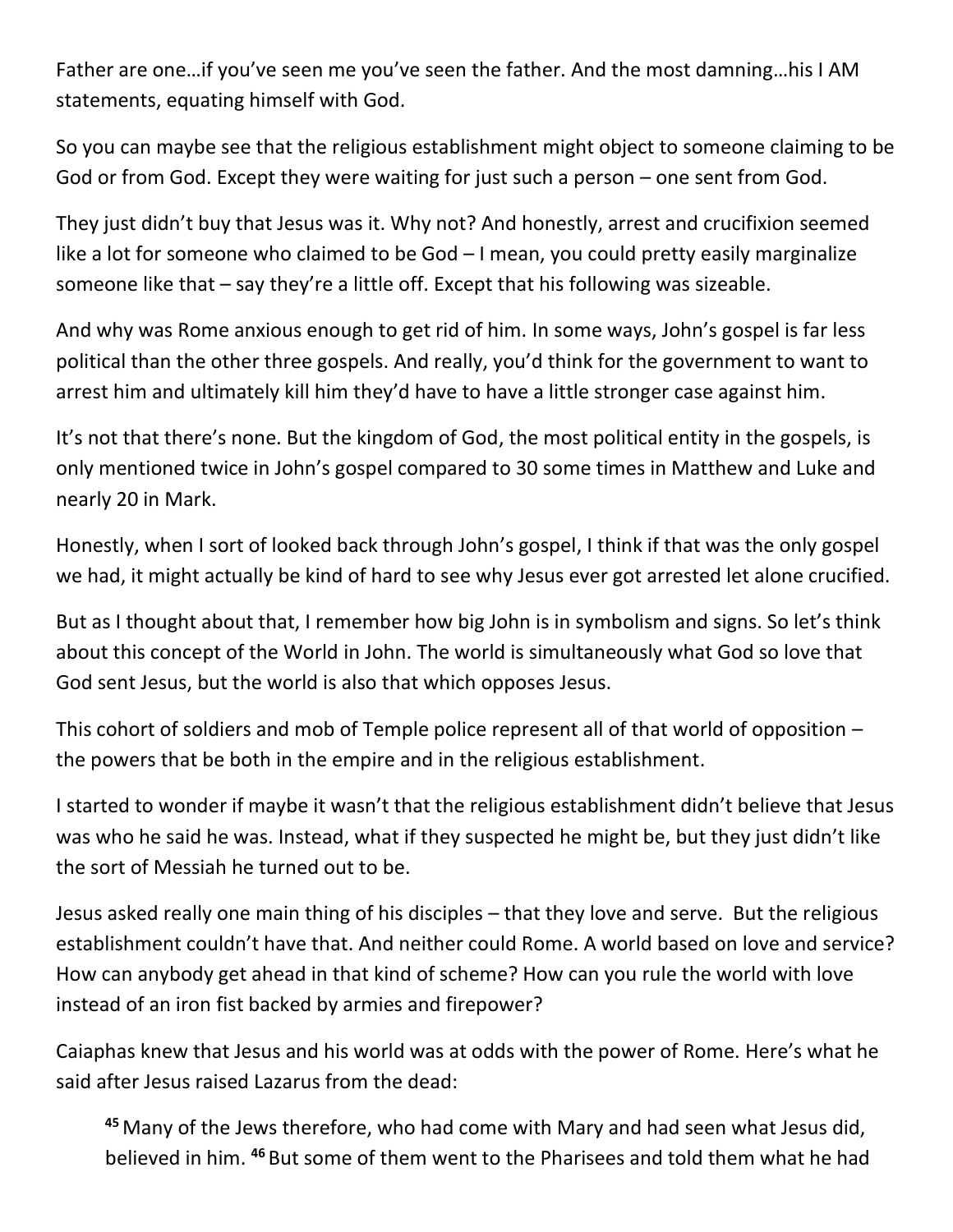Father are one…if you've seen me you've seen the father. And the most damning…his I AM statements, equating himself with God.

So you can maybe see that the religious establishment might object to someone claiming to be God or from God. Except they were waiting for just such a person – one sent from God.

They just didn't buy that Jesus was it. Why not? And honestly, arrest and crucifixion seemed like a lot for someone who claimed to be God – I mean, you could pretty easily marginalize someone like that – say they're a little off. Except that his following was sizeable.

And why was Rome anxious enough to get rid of him. In some ways, John's gospel is far less political than the other three gospels. And really, you'd think for the government to want to arrest him and ultimately kill him they'd have to have a little stronger case against him.

It's not that there's none. But the kingdom of God, the most political entity in the gospels, is only mentioned twice in John's gospel compared to 30 some times in Matthew and Luke and nearly 20 in Mark.

Honestly, when I sort of looked back through John's gospel, I think if that was the only gospel we had, it might actually be kind of hard to see why Jesus ever got arrested let alone crucified.

But as I thought about that, I remember how big John is in symbolism and signs. So let's think about this concept of the World in John. The world is simultaneously what God so love that God sent Jesus, but the world is also that which opposes Jesus.

This cohort of soldiers and mob of Temple police represent all of that world of opposition – the powers that be both in the empire and in the religious establishment.

I started to wonder if maybe it wasn't that the religious establishment didn't believe that Jesus was who he said he was. Instead, what if they suspected he might be, but they just didn't like the sort of Messiah he turned out to be.

Jesus asked really one main thing of his disciples – that they love and serve. But the religious establishment couldn't have that. And neither could Rome. A world based on love and service? How can anybody get ahead in that kind of scheme? How can you rule the world with love instead of an iron fist backed by armies and firepower?

Caiaphas knew that Jesus and his world was at odds with the power of Rome. Here's what he said after Jesus raised Lazarus from the dead:

**<sup>45</sup>** Many of the Jews therefore, who had come with Mary and had seen what Jesus did, believed in him. **<sup>46</sup>** But some of them went to the Pharisees and told them what he had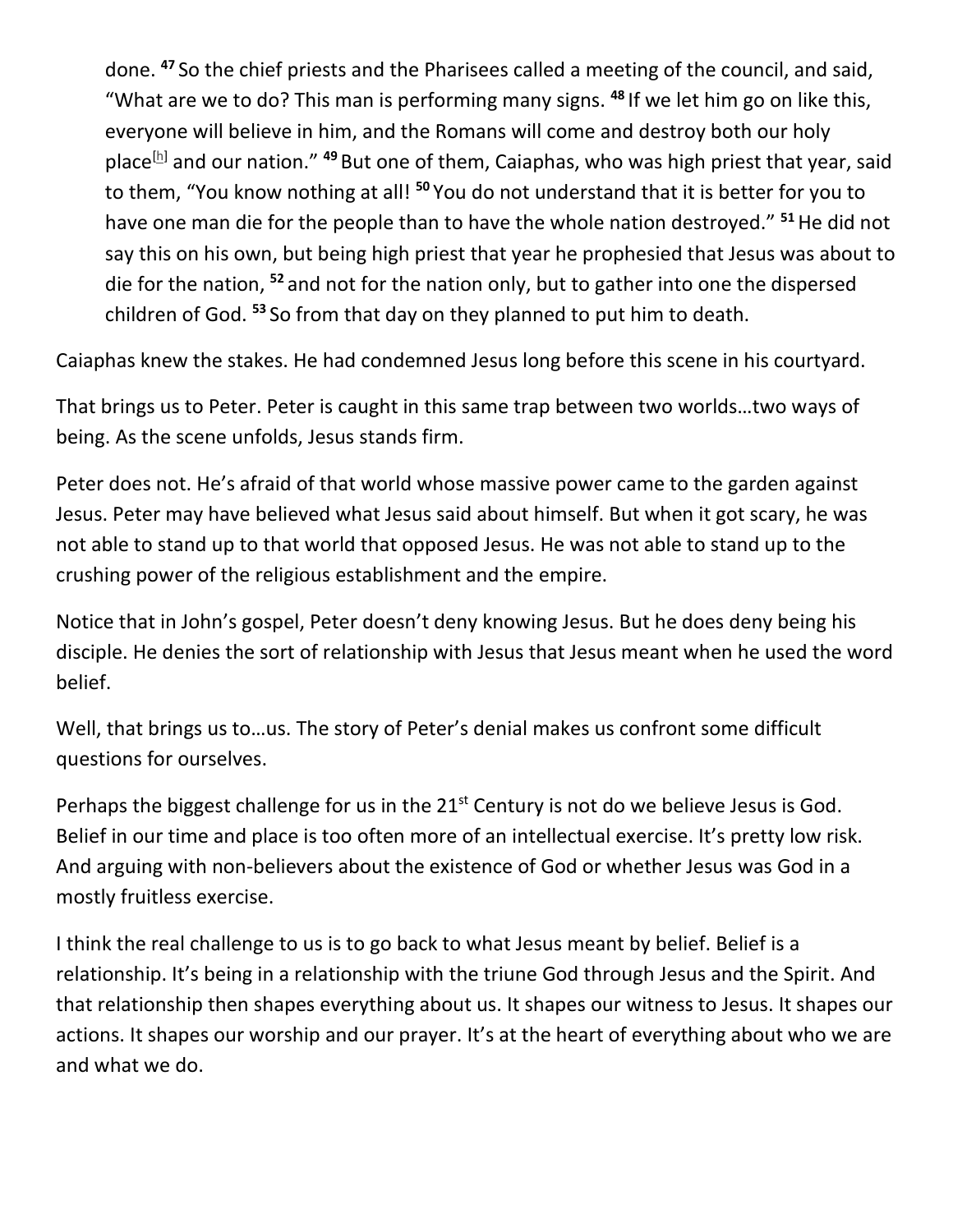done. **<sup>47</sup>** So the chief priests and the Pharisees called a meeting of the council, and said, "What are we to do? This man is performing many signs. **<sup>48</sup>** If we let him go on like this, everyone will believe in him, and the Romans will come and destroy both our holy place<sup>[\[h\]](https://www.biblegateway.com/passage/?search=John%2011&version=NRSV#fen-NRSV-26561h)</sup> and our nation."<sup>49</sup> But one of them, Caiaphas, who was high priest that year, said to them, "You know nothing at all! **<sup>50</sup>** You do not understand that it is better for you to have one man die for the people than to have the whole nation destroyed." **<sup>51</sup>**He did not say this on his own, but being high priest that year he prophesied that Jesus was about to die for the nation, **<sup>52</sup>** and not for the nation only, but to gather into one the dispersed children of God. **<sup>53</sup>** So from that day on they planned to put him to death.

Caiaphas knew the stakes. He had condemned Jesus long before this scene in his courtyard.

That brings us to Peter. Peter is caught in this same trap between two worlds…two ways of being. As the scene unfolds, Jesus stands firm.

Peter does not. He's afraid of that world whose massive power came to the garden against Jesus. Peter may have believed what Jesus said about himself. But when it got scary, he was not able to stand up to that world that opposed Jesus. He was not able to stand up to the crushing power of the religious establishment and the empire.

Notice that in John's gospel, Peter doesn't deny knowing Jesus. But he does deny being his disciple. He denies the sort of relationship with Jesus that Jesus meant when he used the word belief.

Well, that brings us to…us. The story of Peter's denial makes us confront some difficult questions for ourselves.

Perhaps the biggest challenge for us in the  $21<sup>st</sup>$  Century is not do we believe Jesus is God. Belief in our time and place is too often more of an intellectual exercise. It's pretty low risk. And arguing with non-believers about the existence of God or whether Jesus was God in a mostly fruitless exercise.

I think the real challenge to us is to go back to what Jesus meant by belief. Belief is a relationship. It's being in a relationship with the triune God through Jesus and the Spirit. And that relationship then shapes everything about us. It shapes our witness to Jesus. It shapes our actions. It shapes our worship and our prayer. It's at the heart of everything about who we are and what we do.